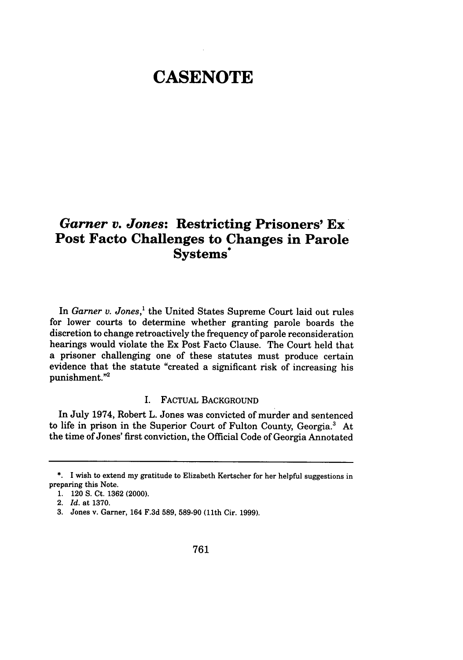# **CASENOTE**

# *Garner v. Jones:* **Restricting Prisoners' Ex' Post Facto Challenges to Changes in Parole Systems\***

In *Garner v. Jones,'* the United States Supreme Court laid out rules for lower courts to determine whether granting parole boards the discretion to change retroactively the frequency of parole reconsideration hearings would violate the Ex Post Facto Clause. The Court held that a prisoner challenging one of these statutes must produce certain evidence that the statute "created a significant risk of increasing his punishment."2

## I. FACTUAL BACKGROUND

In July 1974, Robert L. Jones was convicted of murder and sentenced to life in prison in the Superior Court of Fulton County, Georgia.3 At the time of Jones' first conviction, the Official Code of Georgia Annotated

**<sup>\*.</sup>** I wish to extend my gratitude to Elizabeth Kertscher for her helpful suggestions in preparing this Note.

**<sup>1.</sup>** 120 **S.** Ct. **1362** (2000).

<sup>2.</sup> *Id.* at **1370.**

**<sup>3.</sup>** Jones v. Garner, 164 **F.3d 589, 589-90** (11th Cir. **1999).**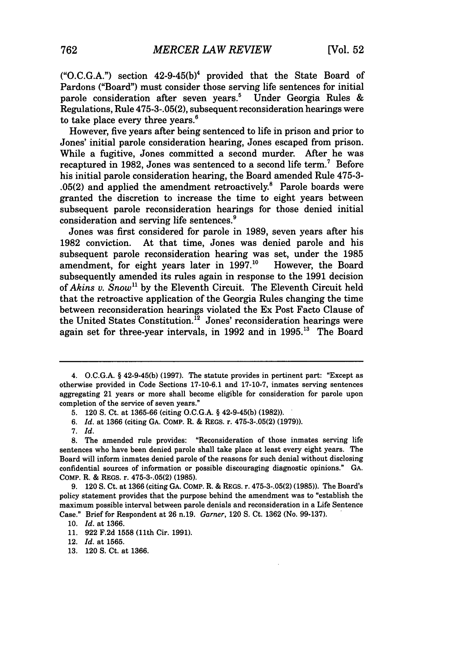**("O.C.G.A.")** section 42-9-45(b)4 provided that the State Board of Pardons ("Board") must consider those serving life sentences for initial parole consideration after seven years.' Under Georgia Rules & Regulations, Rule 475-3-.05(2), subsequent reconsideration hearings were to take place every three years.<sup>6</sup>

However, five years after being sentenced to life in prison and prior to Jones' initial parole consideration hearing, Jones escaped from prison. While a fugitive, Jones committed a second murder. After he was recaptured in 1982, Jones was sentenced to a second life term.<sup>7</sup> Before his initial parole consideration hearing, the Board amended Rule 475-3- .05(2) and applied the amendment retroactively.<sup>8</sup> Parole boards were granted the discretion to increase the time to eight years between subsequent parole reconsideration hearings for those denied initial consideration and serving life sentences?

Jones was first considered for parole in 1989, seven years after his 1982 conviction. At that time, Jones was denied parole and his subsequent parole reconsideration hearing was set, under the 1985 amendment, for eight years later in 1997.<sup>10</sup> However, the Board subsequently amended its rules again in response to the 1991 decision of *Akins v. Snow"* by the Eleventh Circuit. The Eleventh Circuit held that the retroactive application of the Georgia Rules changing the time between reconsideration hearings violated the Ex Post Facto Clause of the United States Constitution.<sup>12</sup> Jones' reconsideration hearings were again set for three-year intervals, in 1992 and in 1995.<sup>13</sup> The Board

**13.** 120 **S.** Ct. at **1366.**

<sup>4.</sup> O.C.G.A. **§** 42-9-45(b) (1997). The statute provides in pertinent part: "Except as otherwise provided in Code Sections 17-10-6.1 and 17-10-7, inmates serving sentences aggregating 21 years or more shall become eligible for consideration for parole upon completion of the service of seven years."

<sup>5. 120</sup> S. Ct. at 1365-66 (citing O.C.G.A. § 42-9-45(b) (1982)).

*<sup>6.</sup> Id.* at 1366 (citing GA. COMP. R. & REGS. r. 475-3-.05(2) (1979)).

<sup>7.</sup> *Id.*

<sup>8.</sup> The amended rule provides: "Reconsideration of those inmates serving life sentences who have been denied parole shall take place at least every eight years. The Board will inform inmates denied parole of the reasons for such denial without disclosing confidential sources of information or possible discouraging diagnostic opinions." GA. COMP. R. & REGS. r. **475-3-.05(2) (1985).**

**<sup>9.</sup>** 120 **S.** Ct. at **1366** (citing **GA.** COMP. R. **&** REGS. r. **475-3-.05(2) (1985)).** The Board's policy statement provides that the purpose behind the amendment was to "establish the maximum possible interval between parole denials and reconsideration in a Life Sentence Case." Brief for Respondent at **26** n.19. *Garner,* 120 **S.** Ct. **1362** (No. **99-137).**

**<sup>10.</sup>** *Id.* at **1366.**

**<sup>11. 922</sup> F.2d 1558** (11th Cir. **1991).**

<sup>12.</sup> *Id.* at **1565.**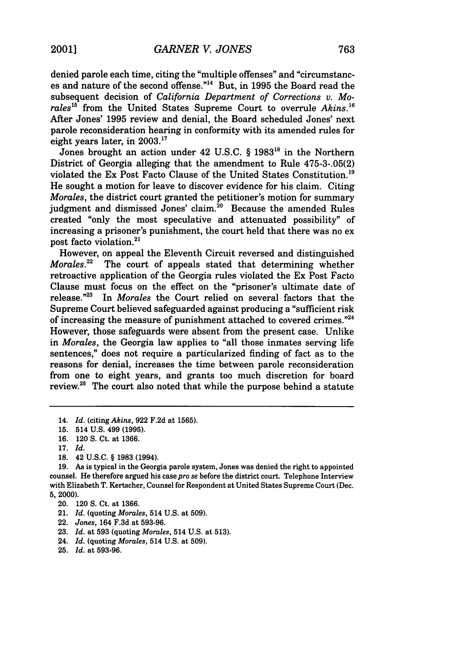denied parole each time, citing the "multiple offenses" and "circumstances and nature of the second offense."14 But, in 1995 the Board read the subsequent decision of *California Department of Corrections v. Morales15* from the United States Supreme Court to overrule *Akins.16* After Jones' 1995 review and denial, the Board scheduled Jones' next parole reconsideration hearing in conformity with its amended rules for eight years later, in 2003.<sup>17</sup>

Jones brought an action under 42 U.S.C. § 1983<sup>18</sup> in the Northern District of Georgia alleging that the amendment to Rule 475-3-.05(2) violated the Ex Post Facto Clause of the United States Constitution.<sup>19</sup> He sought a motion for leave to discover evidence for his claim. Citing *Morales,* the district court granted the petitioner's motion for summary judgment and dismissed Jones' claim.<sup>20</sup> Because the amended Rules created "only the most speculative and attenuated possibility" of increasing a prisoner's punishment, the court held that there was no ex post facto violation.<sup>21</sup>

However, on appeal the Eleventh Circuit reversed and distinguished *Morales."* The court of appeals stated that determining whether retroactive application of the Georgia rules violated the Ex Post Facto Clause must focus on the effect on the "prisoner's ultimate date of release." $23$  In *Morales* the Court relied on several factors that the In *Morales* the Court relied on several factors that the Supreme Court believed safeguarded against producing a "sufficient risk of increasing the measure of punishment attached to covered crimes."24 However, those safeguards were absent from the present case. Unlike in *Morales,* the Georgia law applies to "all those inmates serving life sentences," does not require a particularized finding of fact as to the reasons for denial, increases the time between parole reconsideration from one to eight years, and grants too much discretion for board review. $25$  The court also noted that while the purpose behind a statute

14. *Id.* (citing *Akins,* 922 F.2d at 1565).

**18.** 42 **U.S.C.** § **1983** (1994).

- 22. *Jones,* 164 F.3d at 593-96.
- 23. *Id.* at 593 (quoting *Morales*, 514 U.S. at 513).
- 24. *Id.* (quoting *Morales,* 514 U.S. at 509).
- 25. *Id.* at 593-96.

<sup>15. 514</sup> U.S. 499 (1995).

<sup>16. 120</sup> S. Ct. at 1366.

<sup>17.</sup> *Id.*

**<sup>19.</sup>** As is typical in the Georgia parole system, Jones was denied the right to appointed counsel. He therefore argued his case *pro se* before the district court. Telephone Interview with Elizabeth T. Kertscher, Counsel for Respondent at United States Supreme Court (Dec. **5,** 2000).

<sup>20. 120</sup> **S.** Ct. at 1366.

<sup>21.</sup> *Id.* (quoting *Morales,* 514 U.S. at 509).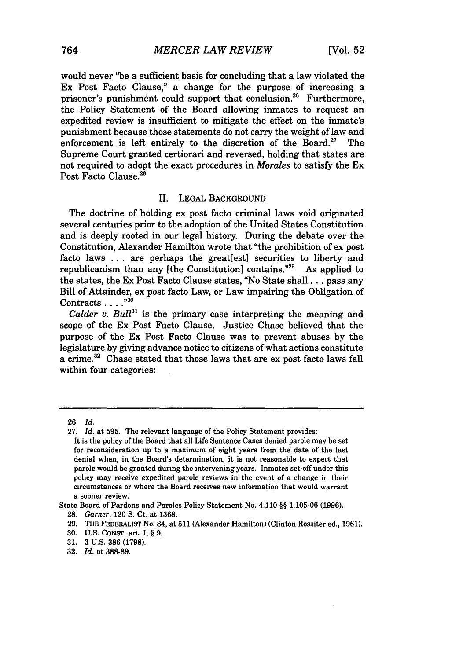would never "be a sufficient basis for concluding that a law violated the Ex Post Facto Clause," a change for the purpose of increasing a prisoner's punishment could support that conclusion.<sup>26</sup> Furthermore, the Policy Statement of the Board allowing inmates to request an expedited review is insufficient to mitigate the effect on the inmate's punishment because those statements do not carry the weight of law and enforcement is left entirely to the discretion of the Board.<sup>27</sup> The Supreme Court granted certiorari and reversed, holding that states are not required to adopt the exact procedures in *Morales* to satisfy the Ex Post Facto Clause.<sup>28</sup>

#### II. LEGAL BACKGROUND

The doctrine of holding ex post facto criminal laws void originated several centuries prior to the adoption of the United States Constitution and is deeply rooted in our legal history. During the debate over the Constitution, Alexander Hamilton wrote that "the prohibition of ex post facto laws ... are perhaps the great[est] securities to liberty and republicanism than any [the Constitution] contains.<sup>"29</sup> As applied to the states, the Ex Post Facto Clause states, "No State shall **...** pass any Bill of Attainder, ex post facto Law, or Law impairing the Obligation of Contracts . . . .<sup>,30</sup>

*Calder v. Bull*<sup>31</sup> is the primary case interpreting the meaning and scope of the Ex Post Facto Clause. Justice Chase believed that the purpose of the Ex Post Facto Clause was to prevent abuses by the legislature by giving advance notice to citizens of what actions constitute a crime.<sup>32</sup> Chase stated that those laws that are ex post facto laws fall within four categories:

<sup>26.</sup> *Id.*

<sup>27.</sup> *Id.* at 595. The relevant language of the Policy Statement provides:

It is the policy of the Board that all Life Sentence Cases denied parole may be set for reconsideration up to a maximum of eight years from the date of the last denial when, in the Board's determination, it is not reasonable to expect that parole would be granted during the intervening years. Inmates set-off under this policy may receive expedited parole reviews in the event of a change in their circumstances or where the Board receives new information that would warrant a sooner review.

State Board of Pardons and Paroles Policy Statement No. 4.110 §§ 1.105-06 (1996).

<sup>28.</sup> *Garner,* 120 **S.** Ct. at 1368.

<sup>29.</sup> THE FEDERALIST No. 84, at **511** (Alexander Hamilton) (Clinton Rossiter ed., 1961).

<sup>30.</sup> U.S. CONST. art. I, § 9.

<sup>31. 3</sup> U.S. 386 (1798).

<sup>32.</sup> *Id.* at 388-89.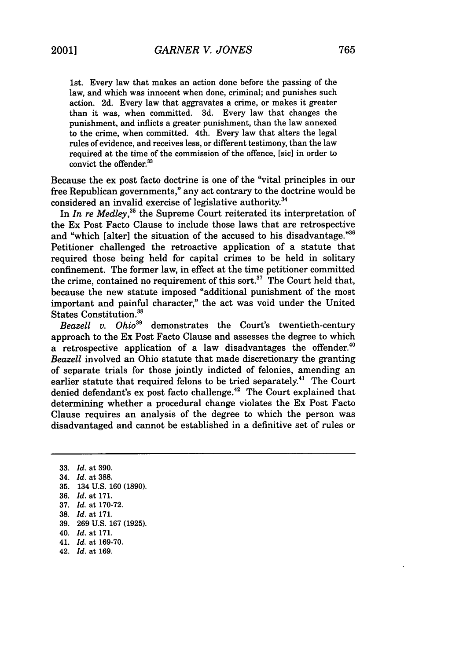1st. Every law that makes an action done before the passing of the law, and which was innocent when done, criminal; and punishes such action. 2d. Every law that aggravates a crime, or makes it greater than it was, when committed. 3d. Every law that changes the punishment, and inflicts a greater punishment, than the law annexed to the crime, when committed. 4th. Every law that alters the legal rules of evidence, and receives less, or different testimony, than the law required at the time of the commission of the offence, [sic] in order to convict the offender.<sup>33</sup>

Because the ex post facto doctrine is one of the "vital principles in our free Republican governments," any act contrary to the doctrine would be considered an invalid exercise of legislative authority.<sup>34</sup>

In *In re Medley*,<sup>35</sup> the Supreme Court reiterated its interpretation of the Ex Post Facto Clause to include those laws that are retrospective and "which [alter] the situation of the accused to his disadvantage."36 Petitioner challenged the retroactive application of a statute that required those being held for capital crimes to be held in solitary confinement. The former law, in effect at the time petitioner committed the crime, contained no requirement of this sort.<sup>37</sup> The Court held that, because the new statute imposed "additional punishment of the most important and painful character," the act was void under the United States Constitution.38

*Beazell v. Ohio39* demonstrates the Court's twentieth-century approach to the Ex Post Facto Clause and assesses the degree to which a retrospective application of a law disadvantages the offender.<sup>41</sup> *Beazell* involved an Ohio statute that made discretionary the granting of separate trials for those jointly indicted of felonies, amending an earlier statute that required felons to be tried separately.<sup>41</sup> The Court denied defendant's ex post facto challenge.<sup>42</sup> The Court explained that determining whether a procedural change violates the Ex Post Facto Clause requires an analysis of the degree to which the person was disadvantaged and cannot be established in a definitive set of rules or

- 40. *Id.* at 171.
- 41. *Id.* at 169-70.
- 42. *Id.* at 169.

<sup>33.</sup> *Id.* at 390.

<sup>34.</sup> *Id.* at 388.

<sup>35. 134</sup> U.S. 160 (1890).

<sup>36.</sup> *Id.* at 171.

<sup>37.</sup> *Id.* at 170-72.

<sup>38.</sup> *Id.* at 171.

<sup>39. 269</sup> U.S. 167 (1925).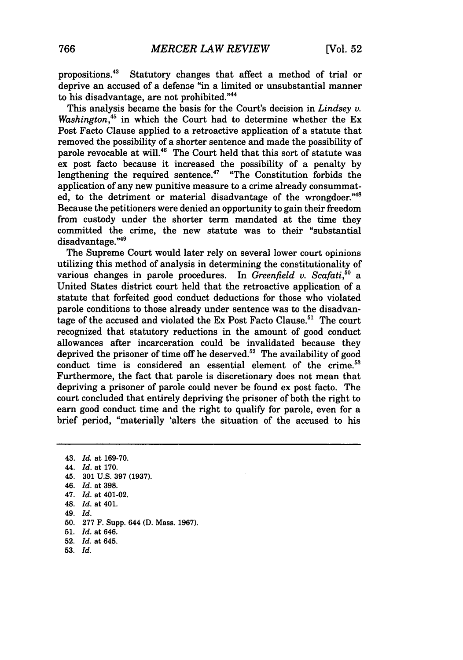propositions.43 Statutory changes that affect a method of trial or deprive an accused of a defense "in a limited or unsubstantial manner to his disadvantage, are not prohibited."<sup>44</sup>

This analysis became the basis for the Court's decision in *Lindsey v.* Washington,<sup>45</sup> in which the Court had to determine whether the Ex Post Facto Clause applied to a retroactive application of a statute that removed the possibility of a shorter sentence and made the possibility of parole revocable at will.<sup>46</sup> The Court held that this sort of statute was ex post facto because it increased the possibility of a penalty by lengthening the required sentence.<sup>47</sup> "The Constitution forbids the application of any new punitive measure to a crime already consummated, to the detriment or material disadvantage of the wrongdoer."<sup>46</sup> Because the petitioners were denied an opportunity to gain their freedom from custody under the shorter term mandated at the time they committed the crime, the new statute was to their "substantial disadvantage."<sup>49</sup>

The Supreme Court would later rely on several lower court opinions utilizing this method of analysis in determining the constitutionality of various changes in parole procedures. In *Greenfield v. Scafati*,<sup>50</sup> a United States district court held that the retroactive application of a statute that forfeited good conduct deductions for those who violated parole conditions to those already under sentence was to the disadvantage of the accused and violated the Ex Post Facto Clause.<sup>51</sup> The court recognized that statutory reductions in the amount of good conduct allowances after incarceration could be invalidated because they deprived the prisoner of time off he deserved.<sup>52</sup> The availability of good conduct time is considered an essential element of the crime.<sup>53</sup> Furthermore, the fact that parole is discretionary does not mean that depriving a prisoner of parole could never be found ex post facto. The court concluded that entirely depriving the prisoner of both the right to earn good conduct time and the right to qualify for parole, even for a brief period, "materially 'alters the situation of the accused to his

**53.** *Id.*

<sup>43.</sup> *Id.* at 169-70. 44. *Id.* at 170. 45. 301 U.S. 397 (1937). 46. *Id.* at 398. 47. *Id.* at 401-02. 48. *Id.* at 401. 49. *Id.* **50.** 277 F. Supp. 644 **(D.** Mass. 1967). 51. *Id.* at 646. 52. *Id.* at 645.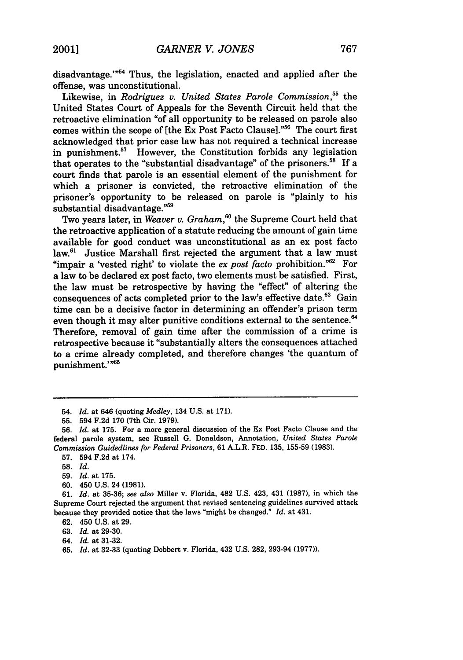disadvantage."<sup>54</sup> Thus, the legislation, enacted and applied after the offense, was unconstitutional.

Likewise, in *Rodriguez v. United States Parole Commission,55* the United States Court of Appeals for the Seventh Circuit held that the retroactive elimination "of all opportunity to be released on parole also comes within the scope of [the Ex Post Facto Clause]."<sup>56</sup> The court first acknowledged that prior case law has not required a technical increase in punishment.<sup>57</sup> However, the Constitution forbids any legislation that operates to the "substantial disadvantage" of the prisoners. $58$  If a court finds that parole is an essential element of the punishment for which a prisoner is convicted, the retroactive elimination of the prisoner's opportunity to be released on parole is "plainly to his substantial disadvantage."<sup>59</sup>

Two years later, in *Weaver v. Graham*,<sup>60</sup> the Supreme Court held that the retroactive application of a statute reducing the amount of gain time available for good conduct was unconstitutional as an ex post facto law.<sup>61</sup> Justice Marshall first rejected the argument that a law must "impair a 'vested right' to violate the *ex post facto* prohibition."62 For a law to be declared ex post facto, two elements must be satisfied. First, the law must be retrospective by having the "effect" of altering the consequences of acts completed prior to the law's effective date.<sup>63</sup> Gain time can be a decisive factor in determining an offender's prison term even though it may alter punitive conditions external to the sentence. $64$ Therefore, removal of gain time after the commission of a crime is retrospective because it "substantially alters the consequences attached to a crime already completed, and therefore changes 'the quantum of punishment."<sup>65</sup>

60. 450 U.S. 24 (1981).

- 63. *Id.* at 29-30.
- 64. *Id.* at 31-32.
- 65. *Id.* at 32-33 (quoting Dobbert v. Florida, 432 U.S. 282, 293-94 (1977)).

<sup>54.</sup> *Id.* at 646 (quoting *Medley,* 134 U.S. at 171).

**<sup>55.</sup>** 594 F.2d 170 (7th Cir. 1979).

**<sup>56.</sup>** *Id.* at 175. For a more general discussion of the Ex Post Facto Clause and the federal parole system, see Russell G. Donaldson, Annotation, *United States Parole Commission Guidedlines for Federal Prisoners,* 61 A.L.R. FED. 135, 155-59 (1983).

**<sup>57.</sup>** 594 F.2d at 174.

**<sup>58.</sup>** *Id.*

**<sup>59.</sup>** *Id.* at **175.**

<sup>61.</sup> *Id.* at 35-36; *see also* Miller v. Florida, 482 U.S. 423, 431 (1987), in which the Supreme Court rejected the argument that revised sentencing guidelines survived attack because they provided notice that the laws "might be changed." *Id.* at 431.

<sup>62. 450</sup> U.S. at 29.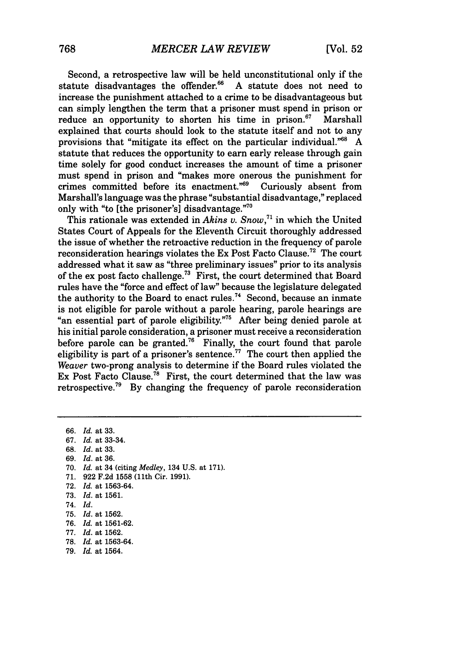Second, a retrospective law will be held unconstitutional only if the statute disadvantages the offender.<sup>66</sup> A statute does not need to increase the punishment attached to a crime to be disadvantageous but can simply lengthen the term that a prisoner must spend in prison or reduce an opportunity to shorten his time in prison. $67$  Marshall explained that courts should look to the statute itself and not to any provisions that "mitigate its effect on the particular individual." $68$  A statute that reduces the opportunity to earn early release through gain time solely for good conduct increases the amount of time a prisoner must spend in prison and "makes more onerous the punishment for crimes committed before its enactment."69 Curiously absent from Marshall's language was the phrase "substantial disadvantage," replaced only with "to [the prisoner's] disadvantage."70

This rationale was extended in *Akins v. Snow,7'* in which the United States Court of Appeals for the Eleventh Circuit thoroughly addressed the issue of whether the retroactive reduction in the frequency of parole reconsideration hearings violates the Ex Post Facto Clause.<sup>72</sup> The court addressed what it saw as "three preliminary issues" prior to its analysis of the ex post facto challenge.73 First, the court determined that Board rules have the "force and effect of law" because the legislature delegated the authority to the Board to enact rules.<sup>74</sup> Second, because an inmate is not eligible for parole without a parole hearing, parole hearings are "an essential part of parole eligibility."<sup>75</sup> After being denied parole at his initial parole consideration, a prisoner must receive a reconsideration before parole can be granted.<sup>76</sup> Finally, the court found that parole eligibility is part of a prisoner's sentence.<sup>77</sup> The court then applied the *Weaver* two-prong analysis to determine if the Board rules violated the Ex Post Facto Clause.<sup>78</sup> First, the court determined that the law was retrospective.<sup>79</sup> By changing the frequency of parole reconsideration

66. *Id.* at 33. 67. *Id.* at 33-34. 68. *Id.* at 33. 69. *Id.* at 36. 70. *Id.* at 34 (citing *Medley,* 134 U.S. at 171). 71. 922 F.2d 1558 (11th Cir. 1991). 72. *Id.* at 1563-64. 73. *Id.* at 1561. 74. *Id.* 75. *Id.* at 1562. 76. *Id.* at 1561-62. 77. *Id.* at 1562. 78. *Id.* at 1563-64. 79. *Id.* at 1564.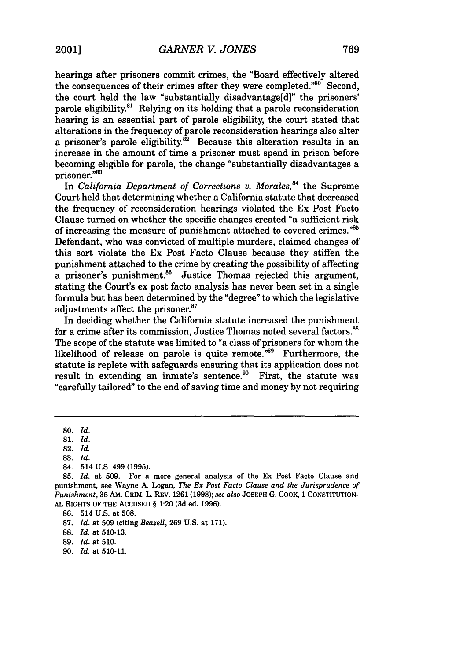hearings after prisoners commit crimes, the "Board effectively altered the consequences of their crimes after they were completed." $80^\circ$  Second, the court held the law "substantially disadvantage[d]" the prisoners' parole eligibility. $81$  Relying on its holding that a parole reconsideration hearing is an essential part of parole eligibility, the court stated that alterations in the frequency of parole reconsideration hearings also alter a prisoner's parole eligibility. ${}^{82}$  Because this alteration results in an increase in the amount of time a prisoner must spend in prison before becoming eligible for parole, the change "substantially disadvantages a prisoner."<sup>83</sup>

In *California Department of Corrections v. Morales*,<sup>84</sup> the Supreme Court held that determining whether a California statute that decreased the frequency of reconsideration hearings violated the Ex Post Facto Clause turned on whether the specific changes created "a sufficient risk of increasing the measure of punishment attached to covered crimes."85 Defendant, who was convicted of multiple murders, claimed changes of this sort violate the Ex Post Facto Clause because they stiffen the punishment attached to the crime **by** creating the possibility of affecting a prisoner's punishment.<sup>86</sup> Justice Thomas rejected this argument, stating the Court's ex post facto analysis has never been set in a single formula but has been determined **by** the "degree" to which the legislative adjustments affect the prisoner.<sup>87</sup>

In deciding whether the California statute increased the punishment for a crime after its commission, Justice Thomas noted several factors.<sup>88</sup> The scope of the statute was limited to "a class of prisoners for whom the likelihood of release on parole is quite remote."<sup>89</sup> Furthermore, the statute is replete with safeguards ensuring that its application does not result in extending an inmate's sentence.<sup>90</sup> First, the statute was "carefully tailored" to the end of saving time and money **by** not requiring

- 88. *Id.* at 510-13.
- 89. *Id.* at 510.
- 90. *Id.* at 510-11.

<sup>80.</sup> *Id.*

<sup>81.</sup> *Id.*

<sup>82.</sup> *Id.*

**<sup>83.</sup>** *Id.*

<sup>84. 514</sup> U.S. 499 (1995).

<sup>85.</sup> *Id.* at 509. For a more general analysis of the Ex Post Facto Clause and punishment, see Wayne A. Logan, *The Ex Post Facto Clause and the Jurisprudence of Punishment,* 35 AM. CRIM. L. REV. 1261 (1998); *see also* JOSEPH G. COOK, 1 CONSTITUTION-**AL** RIGHTS OF THE ACCUSED § 1:20 **(3d** ed. 1996).

<sup>86. 514</sup> U.S. at 508.

<sup>87.</sup> *Id.* at 509 (citing *Beazell,* 269 U.S. at 171).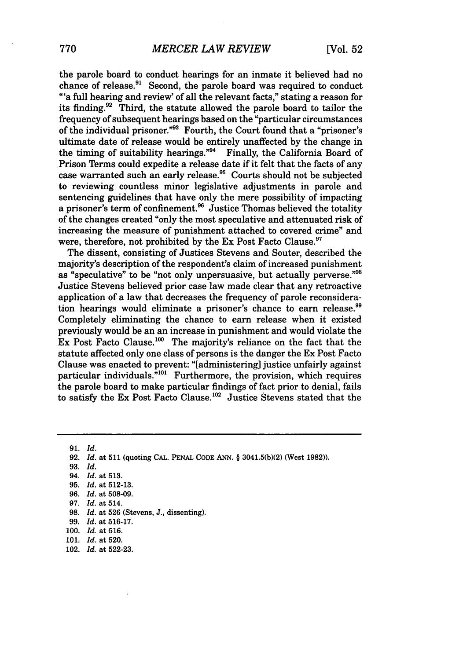the parole board to conduct hearings for an inmate it believed had no chance of release. $91$  Second, the parole board was required to conduct "'a full hearing and review' of all the relevant facts," stating a reason for its finding.92 Third, the statute allowed the parole board to tailor the frequency of subsequent hearings based on the "particular circumstances of the individual prisoner."<sup>93</sup> Fourth, the Court found that a "prisoner's ultimate date of release would be entirely unaffected by the change in the timing of suitability hearings."<sup>94</sup> Finally, the California Board of Prison Terms could expedite a release date if it felt that the facts of any case warranted such an early release.<sup>95</sup> Courts should not be subjected to reviewing countless minor legislative adjustments in parole and sentencing guidelines that have only the mere possibility of impacting a prisoner's term of confinement.96 Justice Thomas believed the totality of the changes created "only the most speculative and attenuated risk of increasing the measure of punishment attached to covered crime" and were, therefore, not prohibited by the Ex Post Facto Clause.<sup>97</sup>

The dissent, consisting of Justices Stevens and Souter, described the majority's description of the respondent's claim of increased punishment as "speculative" to be "not only unpersuasive, but actually perverse."<sup>98</sup> Justice Stevens believed prior case law made clear that any retroactive application of a law that decreases the frequency of parole reconsideration hearings would eliminate a prisoner's chance to earn release.<sup>99</sup> Completely eliminating the chance to earn release when it existed previously would be an an increase in punishment and would violate the Ex Post Facto Clause.<sup>100</sup> The majority's reliance on the fact that the statute affected only one class of persons is the danger the Ex Post Facto Clause was enacted to prevent: "[administering] justice unfairly against particular individuals. $n_{01}$  Furthermore, the provision, which requires the parole board to make particular findings of fact prior to denial, fails to satisfy the Ex Post Facto Clause.<sup>102</sup> Justice Stevens stated that the

91. *Id.* 92. *Id.* at **511** (quoting CAL. PENAL CODE ANN. § 3041.5(b)(2) (West 1982)). 93. *Id.* 94. *Id.* at 513. 95. *Id.* at 512-13.

- 96. *Id.* at 508-09.
- *97. Id.* at 514.
- 98. *Id.* at 526 (Stevens, J., dissenting).
- 99. *Id.* at 516-17.
- 100. *Id.* at 516.
- 101. *Id.* at 520.
- 102. *Id.* at 522-23.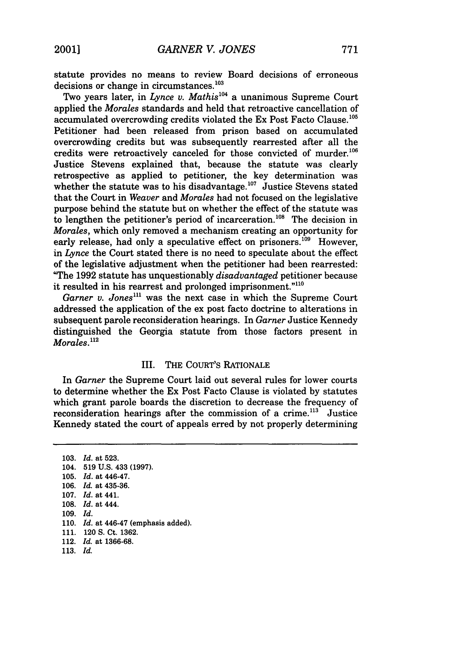statute provides no means to review Board decisions of erroneous decisions or change in circumstances.<sup>103</sup>

Two years later, in *Lynce v. Mathis*<sup>104</sup> a unanimous Supreme Court applied the *Morales* standards and held that retroactive cancellation of accumulated overcrowding credits violated the Ex Post Facto Clause.<sup>105</sup> Petitioner had been released from prison based on accumulated overcrowding credits but was subsequently rearrested after all the credits were retroactively canceled for those convicted of murder. $^{106}$ Justice Stevens explained that, because the statute was clearly retrospective as applied to petitioner, the key determination was whether the statute was to his disadvantage.<sup>107</sup> Justice Stevens stated that the Court in *Weaver* and *Morales* had not focused on the legislative purpose behind the statute but on whether the effect of the statute was to lengthen the petitioner's period of incarceration.<sup>108</sup> The decision in *Morales,* which only removed a mechanism creating an opportunity for early release, had only a speculative effect on prisoners.<sup>109</sup> However, in *Lynce* the Court stated there is no need to speculate about the effect of the legislative adjustment when the petitioner had been rearrested: "The 1992 statute has unquestionably *disadvantaged* petitioner because it resulted in his rearrest and prolonged imprisonment." $110$ 

*Garner v. Jones"'* was the next case in which the Supreme Court addressed the application of the ex post facto doctrine to alterations in subsequent parole reconsideration hearings. In *Garner* Justice Kennedy distinguished the Georgia statute from those factors present in *Morales.*<sup>112</sup>

### III. THE COURT'S RATIONALE

In *Garner* the Supreme Court laid out several rules for lower courts to determine whether the Ex Post Facto Clause is violated by statutes which grant parole boards the discretion to decrease the frequency of reconsideration hearings after the commission of a crime.<sup>113</sup> Justice Kennedy stated the court of appeals erred by not properly determining

103. *Id.* at 523. 104. 519 U.S. 433 (1997). 105. *Id.* at 446-47. 106. *Id.* at 435-36. 107. *Id.* at 441. 108. *Id.* at 444. 109. *Id.* 110. *Id.* at 446-47 (emphasis added). 111. 120 S. Ct. 1362. 112. *Id.* at 1366-68. 113. *Id.*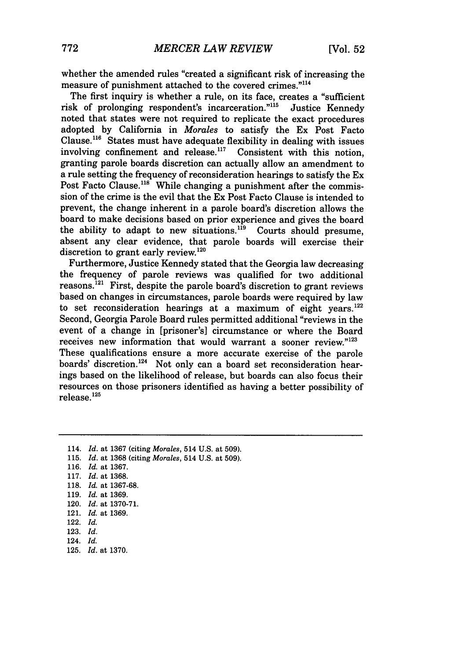whether the amended rules "created a significant risk of increasing the measure of punishment attached to the covered crimes."<sup>114</sup>

The first inquiry is whether a rule, on its face, creates a "sufficient risk of prolonging respondent's incarceration."'15 Justice Kennedy noted that states were not required to replicate the exact procedures adopted by California in *Morales* to satisfy the Ex Post Facto Clause.<sup>116</sup> States must have adequate flexibility in dealing with issues involving confinement and release.<sup>117</sup> Consistent with this notion, granting parole boards discretion can actually allow an amendment to a rule setting the frequency of reconsideration hearings to satisfy the Ex Post Facto Clause.<sup>118</sup> While changing a punishment after the commission of the crime is the evil that the Ex Post Facto Clause is intended to prevent, the change inherent in a parole board's discretion allows the board to make decisions based on prior experience and gives the board the ability to adapt to new situations.<sup>119</sup> Courts should presume, absent any clear evidence, that parole boards will exercise their discretion to grant early review. $120$ 

Furthermore, Justice Kennedy stated that the Georgia law decreasing the frequency of parole reviews was qualified for two additional reasons.<sup>121</sup> First, despite the parole board's discretion to grant reviews based on changes in circumstances, parole boards were required by law to set reconsideration hearings at a maximum of eight years. $122$ Second, Georgia Parole Board rules permitted additional "reviews in the event of a change in [prisoner's] circumstance or where the Board receives new information that would warrant a sooner review."<sup>123</sup> These qualifications ensure a more accurate exercise of the parole boards' discretion.<sup>124</sup> Not only can a board set reconsideration hearings based on the likelihood of release, but boards can also focus their resources on those prisoners identified as having a better possibility of release.<sup>125</sup>

114. *Id.* at 1367 (citing Morales, 514 U.S. at 509). 115. *Id.* at 1368 (citing *Morales,* 514 U.S. at 509). 116. *Id.* at 1367. 117. *Id.* at 1368. 118. *Id.* at 1367-68. 119. Id. at 1369. 120. *Id.* at 1370-71. 121. *Id.* at 1369. 122. *Id.* 123. Id. 124. *Id.* 125. *Id.* at 1370.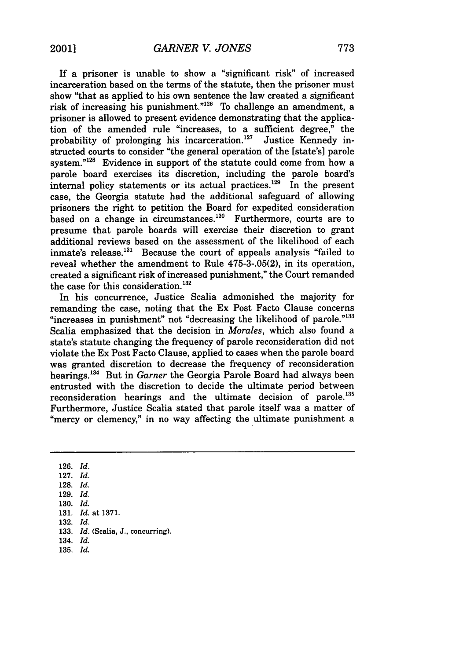If a prisoner is unable to show a "significant risk" of increased incarceration based on the terms of the statute, then the prisoner must show "that as applied to his own sentence the law created a significant risk of increasing his punishment." $126$  To challenge an amendment, a prisoner is allowed to present evidence demonstrating that the application of the amended rule "increases, to a sufficient degree," the probability of prolonging his incarceration.<sup>127</sup> Justice Kennedy instructed courts to consider "the general operation of the [state's] parole system."<sup>128</sup> Evidence in support of the statute could come from how a parole board exercises its discretion, including the parole board's internal policy statements or its actual practices.<sup>129</sup> In the present case, the Georgia statute had the additional safeguard of allowing prisoners the right to petition the Board for expedited consideration based on a change in circumstances.<sup>130</sup> Furthermore, courts are to presume that parole boards will exercise their discretion to grant additional reviews based on the assessment of the likelihood of each inmate's release. $^{131}$  Because the court of appeals analysis "failed to reveal whether the amendment to Rule **475-3-.05(2),** in its operation, created a significant risk of increased punishment," the Court remanded the case for this consideration. **<sup>1</sup> 32**

In his concurrence, Justice Scalia admonished the majority for remanding the case, noting that the Ex Post Facto Clause concerns "increases in punishment" not "decreasing the likelihood of parole."<sup>133</sup> Scalia emphasized that the decision in *Morales,* which also found a state's statute changing the frequency of parole reconsideration did not violate the Ex Post Facto Clause, applied to cases when the parole board was granted discretion to decrease the frequency of reconsideration hearings.'34 But in *Garner* the Georgia Parole Board had always been entrusted with the discretion to decide the ultimate period between reconsideration hearings and the ultimate decision of parole.<sup>135</sup> Furthermore, Justice Scalia stated that parole itself was a matter of "mercy or clemency," in no way affecting the ultimate punishment a

**126.** *Id.*

**127.** *Id.*

- **128.** *Id.*
- **129.** *Id.*
- **130.** *Id.*
- **131.** *Id.* at **1371.**
- **132.** *Id.*
- **133.** *Id.* (Scalia, **J.,** concurring).
- **134.** *Id.*
- **135.** *Id.*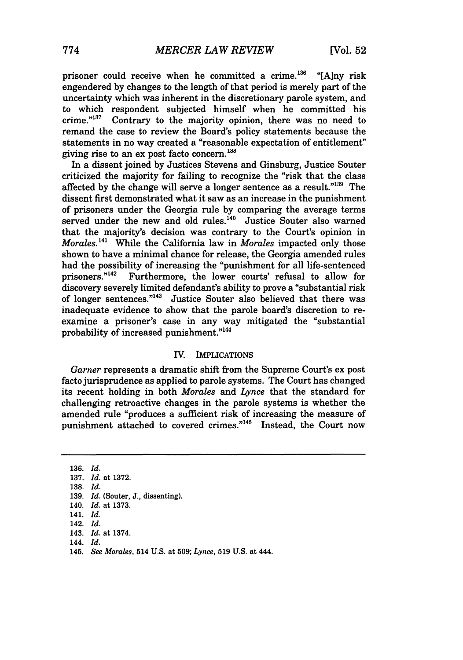prisoner could receive when he committed a crime.<sup>136</sup> "[A]ny risk engendered by changes to the length of that period is merely part of the uncertainty which was inherent in the discretionary parole system, and to which respondent subjected himself when he committed his crime. $n^{137}$  Contrary to the majority opinion, there was no need to Contrary to the majority opinion, there was no need to remand the case to review the Board's policy statements because the statements in no way created a "reasonable expectation of entitlement" giving rise to an ex post facto concern.  $138$ 

In a dissent joined by Justices Stevens and Ginsburg, Justice Souter criticized the majority for failing to recognize the "risk that the class affected by the change will serve a longer sentence as a result."139 The dissent first demonstrated what it saw as an increase in the punishment of prisoners under the Georgia rule by comparing the average terms served under the new and old rules.<sup>140</sup> Justice Souter also warned that the majority's decision was contrary to the Court's opinion in *Morales.* **141** While the California law in *Morales* impacted only those shown to have a minimal chance for release, the Georgia amended rules had the possibility of increasing the "punishment for all life-sentenced prisoners."<sup>142</sup> Furthermore, the lower courts' refusal to allow for discovery severely limited defendant's ability to prove a "substantial risk of longer sentences."<sup>143</sup> Justice Souter also believed that there was inadequate evidence to show that the parole board's discretion to reexamine a prisoner's case in any way mitigated the "substantial probability of increased punishment."<sup>144</sup>

#### IV. IMPLICATIONS

*Garner* represents a dramatic shift from the Supreme Court's ex post facto jurisprudence as applied to parole systems. The Court has changed its recent holding in both *Morales* and *Lynce* that the standard for challenging retroactive changes in the parole systems is whether the amended rule "produces a sufficient risk of increasing the measure of punishment attached to covered crimes."<sup>145</sup> Instead, the Court now

136. *Id.* 137. *Id.* at 1372. 138. *Id.* 139. *Id.* (Souter, **J.,** dissenting). 140. *Id.* at **1373.** 141. *Id.* 142. *Id.* 143. *Id.* at 1374. 144. *Id.* 145. *See Morales,* 514 **U.S.** at **509;** *Lynce,* **519 U.S.** at 444.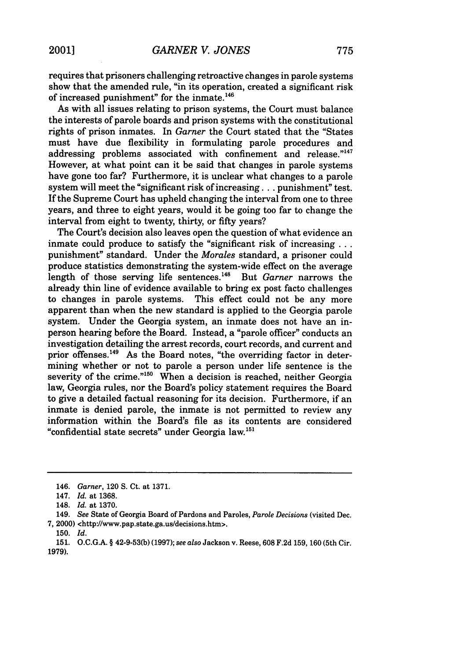requires that prisoners challenging retroactive changes in parole systems show that the amended rule, "in its operation, created a significant risk of increased punishment" for the inmate.<sup>146</sup>

As with all issues relating to prison systems, the Court must balance the interests of parole boards and prison systems with the constitutional rights of prison inmates. In *Garner* the Court stated that the "States must have due flexibility in formulating parole procedures and addressing problems associated with confinement and release."147 However, at what point can it be said that changes in parole systems have gone too far? Furthermore, it is unclear what changes to a parole system will meet the "significant risk of increasing **...** punishment" test. If the Supreme Court has upheld changing the interval from one to three years, and three to eight years, would it be going too far to change the interval from eight to twenty, thirty, or fifty years?

The Court's decision also leaves open the question of what evidence an inmate could produce to satisfy the "significant risk of increasing ... punishment" standard. Under the *Morales* standard, a prisoner could produce statistics demonstrating the system-wide effect on the average length of those serving life sentences.<sup>148</sup> But *Garner* narrows the already thin line of evidence available to bring ex post facto challenges to changes in parole systems. This effect could not be any more apparent than when the new standard is applied to the Georgia parole system. Under the Georgia system, an inmate does not have an inperson hearing before the Board. Instead, a "parole officer" conducts an investigation detailing the arrest records, court records, and current and prior offenses.<sup>149</sup> As the Board notes, "the overriding factor in determining whether or not to parole a person under life sentence is the severity of the crime."<sup>150</sup> When a decision is reached, neither Georgia law, Georgia rules, nor the Board's policy statement requires the Board to give a detailed factual reasoning for its decision. Furthermore, if an inmate is denied parole, the inmate is not permitted to review any information within the Board's file as its contents are considered "confidential state secrets" under Georgia law.'51

<sup>146.</sup> Garner, 120 S. Ct. at 1371.

<sup>147.</sup> *Id.* at 1368.

<sup>148.</sup> *Id.* at 1370.

<sup>149.</sup> *See* State of Georgia Board of Pardons and Paroles, *Parole Decisions* (visited Dec. 7, 2000) <http'//www.pap.state.ga.us/decisions.htm>.

**<sup>150.</sup>** *Id.*

<sup>151.</sup> O.C.G.A. § 42-9-53(b) (1997); *see also* Jackson v. Reese, 608 F.2d 159, 160 (5th Cir. 1979).